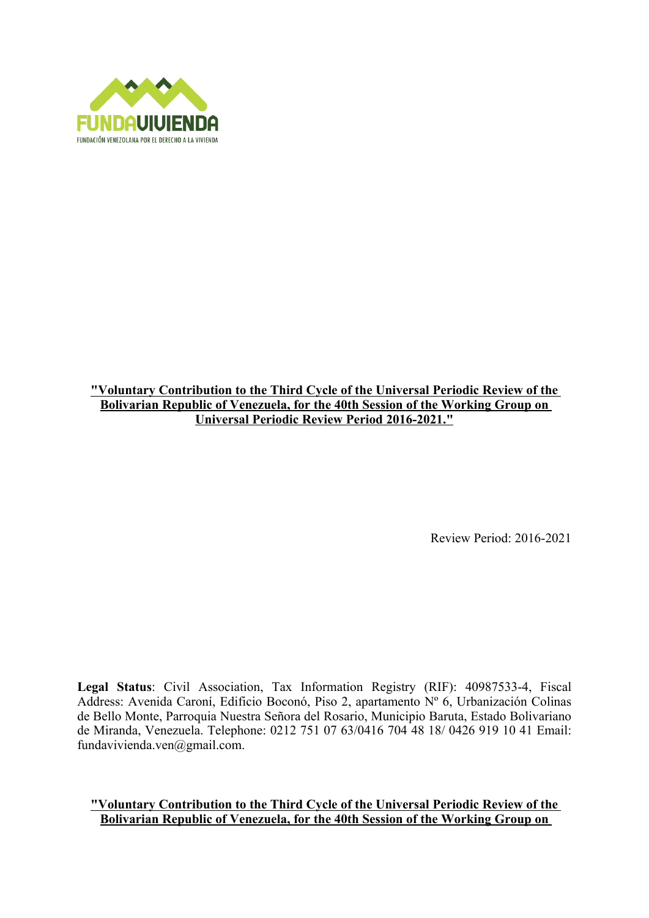

### **"Voluntary Contribution to the Third Cycle of the Universal Periodic Review of the Bolivarian Republic of Venezuela, for the 40th Session of the Working Group on Universal Periodic Review Period 2016-2021."**

Review Period: 2016-2021

**Legal Status**: Civil Association, Tax Information Registry (RIF): 40987533-4, Fiscal Address: Avenida Caroní, Edificio Boconó, Piso 2, apartamento Nº 6, Urbanización Colinas de Bello Monte, Parroquia Nuestra Señora del Rosario, Municipio Baruta, Estado Bolivariano de Miranda, Venezuela. Telephone: 0212 751 07 63/0416 704 48 18/ 0426 919 10 41 Email: fundavivienda.ven@gmail.com.

#### **"Voluntary Contribution to the Third Cycle of the Universal Periodic Review of the Bolivarian Republic of Venezuela, for the 40th Session of the Working Group on**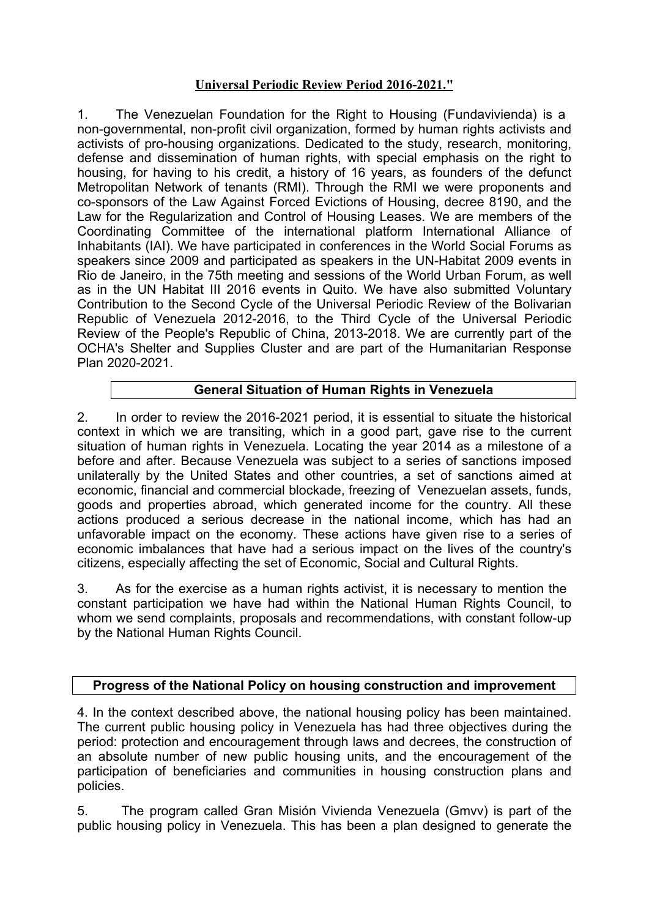# **Universal Periodic Review Period 2016-2021."**

1. The Venezuelan Foundation for the Right to Housing (Fundavivienda) is <sup>a</sup> non-governmental, non-profit civil organization, formed by human rights activists and activists of pro-housing organizations. Dedicated to the study, research, monitoring, defense and dissemination of human rights, with special emphasis on the right to housing, for having to his credit, <sup>a</sup> history of 16 years, as founders of the defunct Metropolitan Network of tenants (RMI). Through the RMI we were proponents and co-sponsors of the Law Against Forced Evictions of Housing, decree 8190, and the Law for the Regularization and Control of Housing Leases. We are members of the Coordinating Committee of the international platform International Alliance of Inhabitants (IAI). We have participated in conferences in the World Social Forums as speakers since 2009 and participated as speakers in the UN-Habitat 2009 events in Rio de Janeiro, in the 75th meeting and sessions of the World Urban Forum, as well as in the UN Habitat III 2016 events in Quito. We have also submitted Voluntary Contribution to the Second Cycle of the Universal Periodic Review of the Bolivarian Republic of Venezuela 2012-2016, to the Third Cycle of the Universal Periodic Review of the People's Republic of China, 2013-2018. We are currently part of the OCHA's Shelter and Supplies Cluster and are part of the Humanitarian Response Plan 2020-2021.

# **General Situation of Human Rights in Venezuela**

2. In order to review the 2016-2021 period, it is essential to situate the historical context in which we are transiting, which in <sup>a</sup> good part, gave rise to the current situation of human rights in Venezuela. Locating the year 2014 as <sup>a</sup> milestone of <sup>a</sup> before and after. Because Venezuela was subject to <sup>a</sup> series of sanctions imposed unilaterally by the United States and other countries, <sup>a</sup> set of sanctions aimed at economic, financial and commercial blockade, freezing of Venezuelan assets, funds, goods and properties abroad, which generated income for the country. All these actions produced <sup>a</sup> serious decrease in the national income, which has had an unfavorable impact on the economy. These actions have given rise to <sup>a</sup> series of economic imbalances that have had <sup>a</sup> serious impact on the lives of the country's citizens, especially affecting the set of Economic, Social and Cultural Rights.

3. As for the exercise as <sup>a</sup> human rights activist, it is necessary to mention the constant participation we have had within the National Human Rights Council, to whom we send complaints, proposals and recommendations, with constant follow-up by the National Human Rights Council.

### **Progress of the National Policy on housing construction and improvement**

4. In the context described above, the national housing policy has been maintained. The current public housing policy in Venezuela has had three objectives during the period: protection and encouragement through laws and decrees, the construction of an absolute number of new public housing units, and the encouragement of the participation of beneficiaries and communities in housing construction plans and policies.

5. The program called Gran Misión Vivienda Venezuela (Gmvv) is part of the public housing policy in Venezuela. This has been <sup>a</sup> plan designed to generate the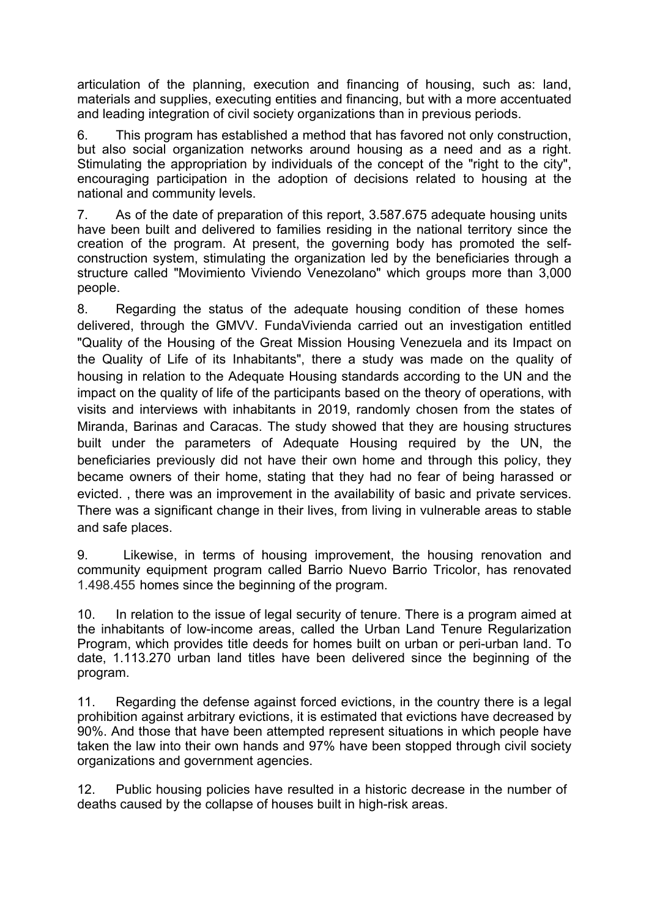articulation of the planning, execution and financing of housing, such as: land, materials and supplies, executing entities and financing, but with <sup>a</sup> more accentuated and leading integration of civil society organizations than in previous periods.

6. This program has established <sup>a</sup> method that has favored not only construction, but also social organization networks around housing as <sup>a</sup> need and as <sup>a</sup> right. Stimulating the appropriation by individuals of the concept of the "right to the city". encouraging participation in the adoption of decisions related to housing at the national and community levels.

7. As of the date of preparation of this report, 3.587.675 adequate housing units have been built and delivered to families residing in the national territory since the creation of the program. At present, the governing body has promoted the selfconstruction system, stimulating the organization led by the beneficiaries through <sup>a</sup> structure called "Movimiento Viviendo Venezolano" which groups more than 3,000 people.

8. Regarding the status of the adequate housing condition of these homes delivered, through the GMVV. FundaVivienda carried out an investigation entitled "Quality of the Housing of the Great Mission Housing Venezuela and its Impact on the Quality of Life of its Inhabitants", there <sup>a</sup> study was made on the quality of housing in relation to the Adequate Housing standards according to the UN and the impact on the quality of life of the participants based on the theory of operations, with visits and interviews with inhabitants in 2019, randomly chosen from the states of Miranda, Barinas and Caracas. The study showed that they are housing structures built under the parameters of Adequate Housing required by the UN, the beneficiaries previously did not have their own home and through this policy, they became owners of their home, stating that they had no fear of being harassed or evicted. , there was an improvement in the availability of basic and private services. There was <sup>a</sup> significant change in their lives, from living in vulnerable areas to stable and safe places.

9. Likewise, in terms of housing improvement, the housing renovation and community equipment program called Barrio Nuevo Barrio Tricolor, has renovated 1.498.455 homes since the beginning of the program.

10. In relation to the issue of legal security of tenure. There is <sup>a</sup> program aimed at the inhabitants of low-income areas, called the Urban Land Tenure Regularization Program, which provides title deeds for homes built on urban or peri-urban land. To date, 1.113.270 urban land titles have been delivered since the beginning of the program.

11. Regarding the defense against forced evictions, in the country there is <sup>a</sup> legal prohibition against arbitrary evictions, it is estimated that evictions have decreased by 90%. And those that have been attempted represent situations in which people have taken the law into their own hands and 97% have been stopped through civil society organizations and government agencies.

12. Public housing policies have resulted in <sup>a</sup> historic decrease in the number of deaths caused by the collapse of houses built in high-risk areas.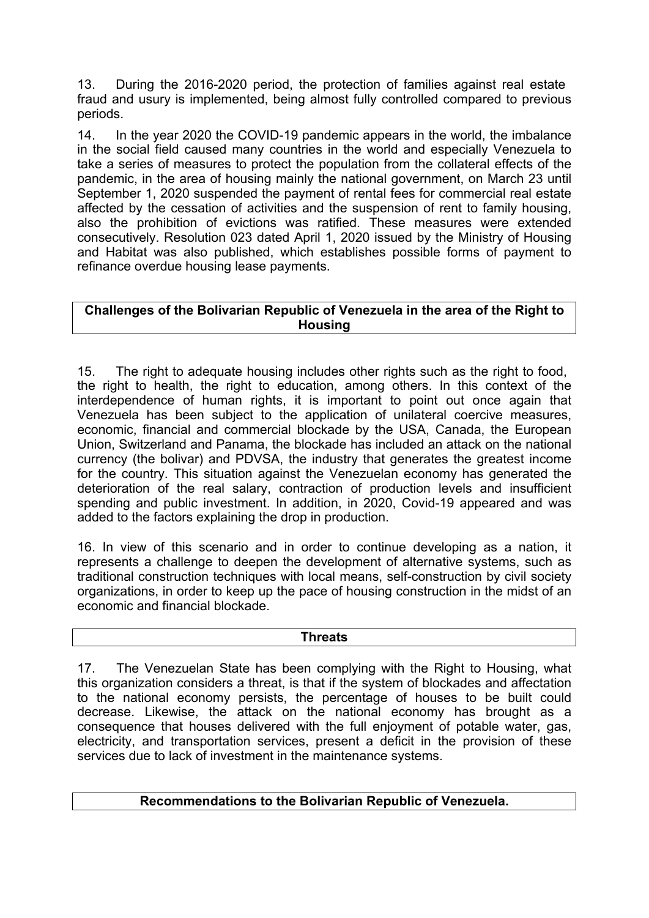13. During the 2016-2020 period, the protection of families against real estate fraud and usury is implemented, being almost fully controlled compared to previous periods.

14. In the year 2020 the COVID-19 pandemic appears in the world, the imbalance in the social field caused many countries in the world and especially Venezuela to take <sup>a</sup> series of measures to protect the population from the collateral effects of the pandemic, in the area of housing mainly the national government, on March 23 until September 1, 2020 suspended the payment of rental fees for commercial real estate affected by the cessation of activities and the suspension of rent to family housing, also the prohibition of evictions was ratified. These measures were extended consecutively. Resolution 023 dated April 1, 2020 issued by the Ministry of Housing and Habitat was also published, which establishes possible forms of payment to refinance overdue housing lease payments.

## **Challenges of the Bolivarian Republic of Venezuela in the area of the Right to Housing**

15. The right to adequate housing includes other rights such as the right to food, the right to health, the right to education, among others. In this context of the interdependence of human rights, it is important to point out once again that Venezuela has been subject to the application of unilateral coercive measures, economic, financial and commercial blockade by the USA, Canada, the European Union, Switzerland and Panama, the blockade has included an attack on the national currency (the bolivar) and PDVSA, the industry that generates the greatest income for the country. This situation against the Venezuelan economy has generated the deterioration of the real salary, contraction of production levels and insufficient spending and public investment. In addition, in 2020, Covid-19 appeared and was added to the factors explaining the drop in production.

16. In view of this scenario and in order to continue developing as <sup>a</sup> nation, it represents <sup>a</sup> challenge to deepen the development of alternative systems, such as traditional construction techniques with local means, self-construction by civil society organizations, in order to keep up the pace of housing construction in the midst of an economic and financial blockade.

### **Threats**

17. The Venezuelan State has been complying with the Right to Housing, what this organization considers <sup>a</sup> threat, is that if the system of blockades and affectation to the national economy persists, the percentage of houses to be built could decrease. Likewise, the attack on the national economy has brought as <sup>a</sup> consequence that houses delivered with the full enjoyment of potable water, gas, electricity, and transportation services, present <sup>a</sup> deficit in the provision of these services due to lack of investment in the maintenance systems.

### **Recommendations to the Bolivarian Republic of Venezuela.**